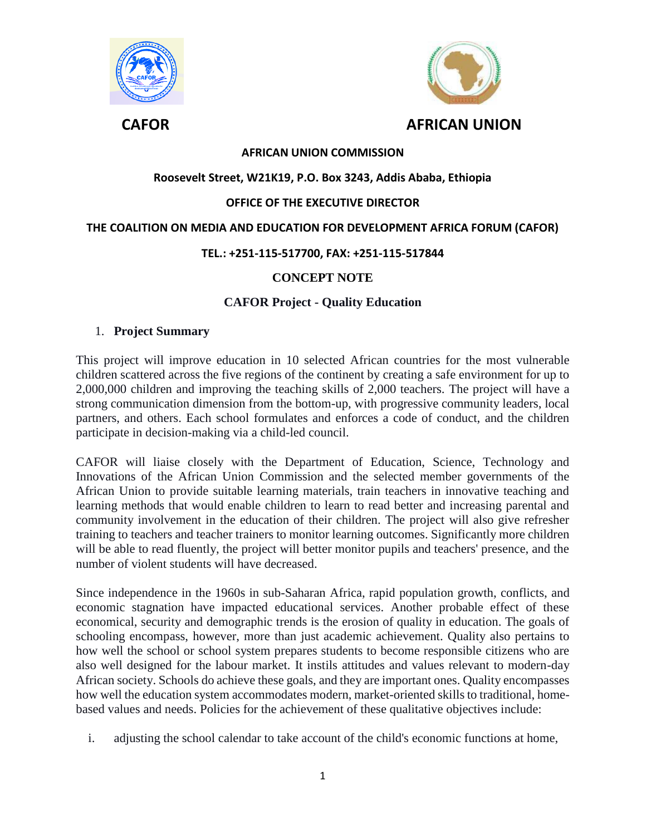



# **AFRICAN UNION COMMISSION**

## **Roosevelt Street, W21K19, P.O. Box 3243, Addis Ababa, Ethiopia**

## **OFFICE OF THE EXECUTIVE DIRECTOR**

## **THE COALITION ON MEDIA AND EDUCATION FOR DEVELOPMENT AFRICA FORUM (CAFOR)**

## **TEL.: +251-115-517700, FAX: +251-115-517844**

## **CONCEPT NOTE**

## **CAFOR Project - Quality Education**

#### 1. **Project Summary**

This project will improve education in 10 selected African countries for the most vulnerable children scattered across the five regions of the continent by creating a safe environment for up to 2,000,000 children and improving the teaching skills of 2,000 teachers. The project will have a strong communication dimension from the bottom-up, with progressive community leaders, local partners, and others. Each school formulates and enforces a code of conduct, and the children participate in decision-making via a child-led council.

CAFOR will liaise closely with the Department of Education, Science, Technology and Innovations of the African Union Commission and the selected member governments of the African Union to provide suitable learning materials, train teachers in innovative teaching and learning methods that would enable children to learn to read better and increasing parental and community involvement in the education of their children. The project will also give refresher training to teachers and teacher trainers to monitor learning outcomes. Significantly more children will be able to read fluently, the project will better monitor pupils and teachers' presence, and the number of violent students will have decreased.

Since independence in the 1960s in sub-Saharan Africa, rapid population growth, conflicts, and economic stagnation have impacted educational services. Another probable effect of these economical, security and demographic trends is the erosion of quality in education. The goals of schooling encompass, however, more than just academic achievement. Quality also pertains to how well the school or school system prepares students to become responsible citizens who are also well designed for the labour market. It instils attitudes and values relevant to modern-day African society. Schools do achieve these goals, and they are important ones. Quality encompasses how well the education system accommodates modern, market-oriented skills to traditional, homebased values and needs. Policies for the achievement of these qualitative objectives include:

i. adjusting the school calendar to take account of the child's economic functions at home,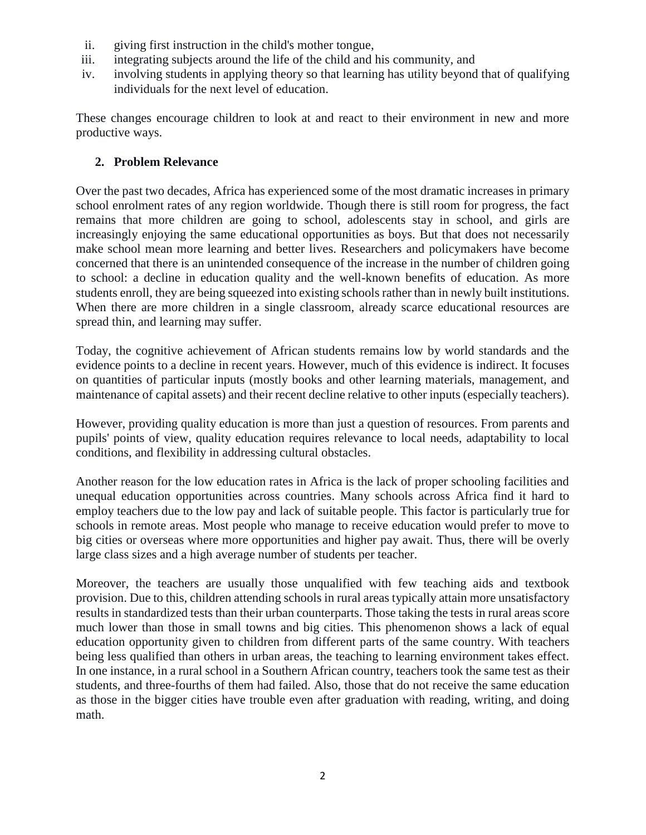- ii. giving first instruction in the child's mother tongue,
- iii. integrating subjects around the life of the child and his community, and
- iv. involving students in applying theory so that learning has utility beyond that of qualifying individuals for the next level of education.

These changes encourage children to look at and react to their environment in new and more productive ways.

# **2. Problem Relevance**

Over the past two decades, Africa has experienced some of the most dramatic increases in primary school enrolment rates of any region worldwide. Though there is still room for progress, the fact remains that more children are going to school, adolescents stay in school, and girls are increasingly enjoying the same educational opportunities as boys. But that does not necessarily make school mean more learning and better lives. Researchers and policymakers have become concerned that there is an unintended consequence of the increase in the number of children going to school: a decline in education quality and the well-known benefits of education. As more students enroll, they are being squeezed into existing schools rather than in newly built institutions. When there are more children in a single classroom, already scarce educational resources are spread thin, and learning may suffer.

Today, the cognitive achievement of African students remains low by world standards and the evidence points to a decline in recent years. However, much of this evidence is indirect. It focuses on quantities of particular inputs (mostly books and other learning materials, management, and maintenance of capital assets) and their recent decline relative to other inputs (especially teachers).

However, providing quality education is more than just a question of resources. From parents and pupils' points of view, quality education requires relevance to local needs, adaptability to local conditions, and flexibility in addressing cultural obstacles.

Another reason for the low education rates in Africa is the lack of proper schooling facilities and unequal education opportunities across countries. Many schools across Africa find it hard to employ teachers due to the low pay and lack of suitable people. This factor is particularly true for schools in remote areas. Most people who manage to receive education would prefer to move to big cities or overseas where more opportunities and higher pay await. Thus, there will be overly large class sizes and a high average number of students per teacher.

Moreover, the teachers are usually those unqualified with few teaching aids and textbook provision. Due to this, children attending schools in rural areas typically attain more unsatisfactory results in standardized tests than their urban counterparts. Those taking the tests in rural areas score much lower than those in small towns and big cities. This phenomenon shows a lack of equal education opportunity given to children from different parts of the same country. With teachers being less qualified than others in urban areas, the teaching to learning environment takes effect. In one instance, in a rural school in a Southern African country, teachers took the same test as their students, and three-fourths of them had failed. Also, those that do not receive the same education as those in the bigger cities have trouble even after graduation with reading, writing, and doing math.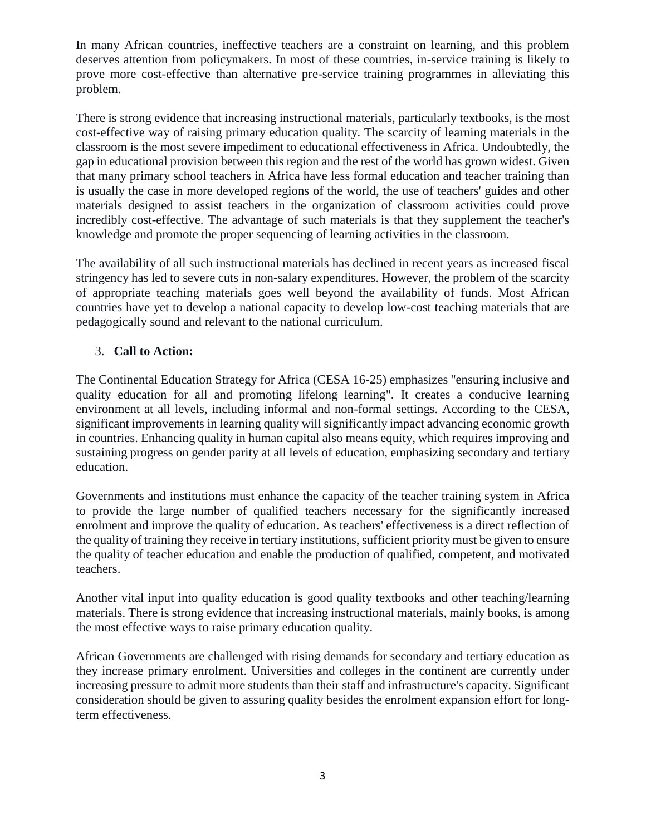In many African countries, ineffective teachers are a constraint on learning, and this problem deserves attention from policymakers. In most of these countries, in-service training is likely to prove more cost-effective than alternative pre-service training programmes in alleviating this problem.

There is strong evidence that increasing instructional materials, particularly textbooks, is the most cost-effective way of raising primary education quality. The scarcity of learning materials in the classroom is the most severe impediment to educational effectiveness in Africa. Undoubtedly, the gap in educational provision between this region and the rest of the world has grown widest. Given that many primary school teachers in Africa have less formal education and teacher training than is usually the case in more developed regions of the world, the use of teachers' guides and other materials designed to assist teachers in the organization of classroom activities could prove incredibly cost-effective. The advantage of such materials is that they supplement the teacher's knowledge and promote the proper sequencing of learning activities in the classroom.

The availability of all such instructional materials has declined in recent years as increased fiscal stringency has led to severe cuts in non-salary expenditures. However, the problem of the scarcity of appropriate teaching materials goes well beyond the availability of funds. Most African countries have yet to develop a national capacity to develop low-cost teaching materials that are pedagogically sound and relevant to the national curriculum.

# 3. **Call to Action:**

The Continental Education Strategy for Africa (CESA 16-25) emphasizes "ensuring inclusive and quality education for all and promoting lifelong learning". It creates a conducive learning environment at all levels, including informal and non-formal settings. According to the CESA, significant improvements in learning quality will significantly impact advancing economic growth in countries. Enhancing quality in human capital also means equity, which requires improving and sustaining progress on gender parity at all levels of education, emphasizing secondary and tertiary education.

Governments and institutions must enhance the capacity of the teacher training system in Africa to provide the large number of qualified teachers necessary for the significantly increased enrolment and improve the quality of education. As teachers' effectiveness is a direct reflection of the quality of training they receive in tertiary institutions, sufficient priority must be given to ensure the quality of teacher education and enable the production of qualified, competent, and motivated teachers.

Another vital input into quality education is good quality textbooks and other teaching/learning materials. There is strong evidence that increasing instructional materials, mainly books, is among the most effective ways to raise primary education quality.

African Governments are challenged with rising demands for secondary and tertiary education as they increase primary enrolment. Universities and colleges in the continent are currently under increasing pressure to admit more students than their staff and infrastructure's capacity. Significant consideration should be given to assuring quality besides the enrolment expansion effort for longterm effectiveness.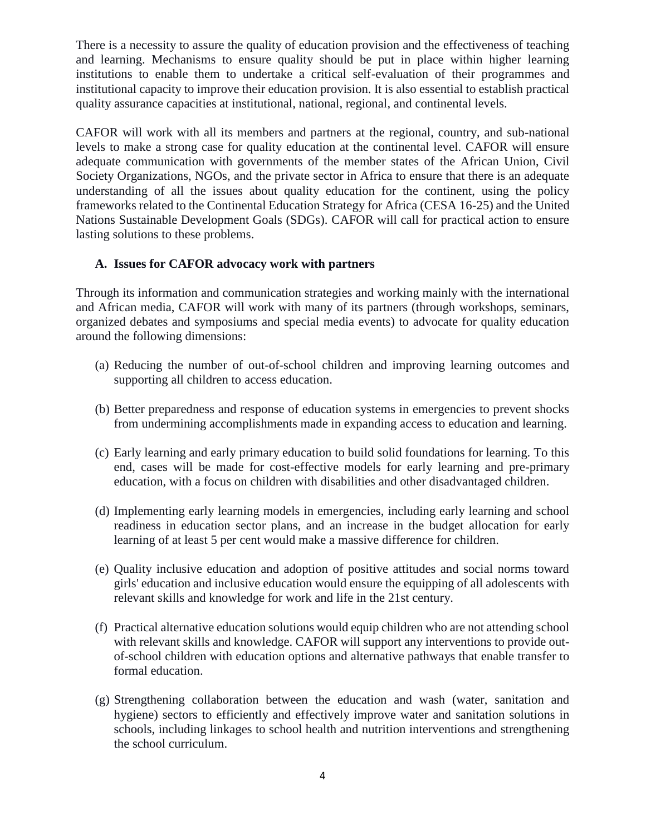There is a necessity to assure the quality of education provision and the effectiveness of teaching and learning. Mechanisms to ensure quality should be put in place within higher learning institutions to enable them to undertake a critical self-evaluation of their programmes and institutional capacity to improve their education provision. It is also essential to establish practical quality assurance capacities at institutional, national, regional, and continental levels.

CAFOR will work with all its members and partners at the regional, country, and sub-national levels to make a strong case for quality education at the continental level. CAFOR will ensure adequate communication with governments of the member states of the African Union, Civil Society Organizations, NGOs, and the private sector in Africa to ensure that there is an adequate understanding of all the issues about quality education for the continent, using the policy frameworks related to the Continental Education Strategy for Africa (CESA 16-25) and the United Nations Sustainable Development Goals (SDGs). CAFOR will call for practical action to ensure lasting solutions to these problems.

# **A. Issues for CAFOR advocacy work with partners**

Through its information and communication strategies and working mainly with the international and African media, CAFOR will work with many of its partners (through workshops, seminars, organized debates and symposiums and special media events) to advocate for quality education around the following dimensions:

- (a) Reducing the number of out-of-school children and improving learning outcomes and supporting all children to access education.
- (b) Better preparedness and response of education systems in emergencies to prevent shocks from undermining accomplishments made in expanding access to education and learning.
- (c) Early learning and early primary education to build solid foundations for learning. To this end, cases will be made for cost-effective models for early learning and pre-primary education, with a focus on children with disabilities and other disadvantaged children.
- (d) Implementing early learning models in emergencies, including early learning and school readiness in education sector plans, and an increase in the budget allocation for early learning of at least 5 per cent would make a massive difference for children.
- (e) Quality inclusive education and adoption of positive attitudes and social norms toward girls' education and inclusive education would ensure the equipping of all adolescents with relevant skills and knowledge for work and life in the 21st century.
- (f) Practical alternative education solutions would equip children who are not attending school with relevant skills and knowledge. CAFOR will support any interventions to provide outof-school children with education options and alternative pathways that enable transfer to formal education.
- (g) Strengthening collaboration between the education and wash (water, sanitation and hygiene) sectors to efficiently and effectively improve water and sanitation solutions in schools, including linkages to school health and nutrition interventions and strengthening the school curriculum.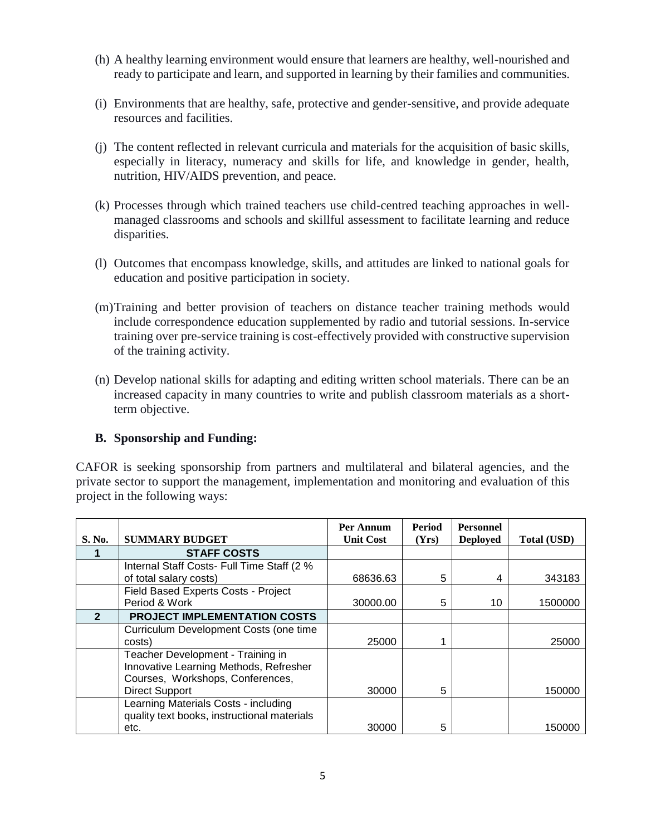- (h) A healthy learning environment would ensure that learners are healthy, well-nourished and ready to participate and learn, and supported in learning by their families and communities.
- (i) Environments that are healthy, safe, protective and gender-sensitive, and provide adequate resources and facilities.
- (j) The content reflected in relevant curricula and materials for the acquisition of basic skills, especially in literacy, numeracy and skills for life, and knowledge in gender, health, nutrition, HIV/AIDS prevention, and peace.
- (k) Processes through which trained teachers use child-centred teaching approaches in wellmanaged classrooms and schools and skillful assessment to facilitate learning and reduce disparities.
- (l) Outcomes that encompass knowledge, skills, and attitudes are linked to national goals for education and positive participation in society.
- (m)Training and better provision of teachers on distance teacher training methods would include correspondence education supplemented by radio and tutorial sessions. In-service training over pre-service training is cost-effectively provided with constructive supervision of the training activity.
- (n) Develop national skills for adapting and editing written school materials. There can be an increased capacity in many countries to write and publish classroom materials as a shortterm objective.

# **B. Sponsorship and Funding:**

CAFOR is seeking sponsorship from partners and multilateral and bilateral agencies, and the private sector to support the management, implementation and monitoring and evaluation of this project in the following ways:

|                |                                                                                                                 | Per Annum        | Period | <b>Personnel</b> |             |
|----------------|-----------------------------------------------------------------------------------------------------------------|------------------|--------|------------------|-------------|
| S. No.         | <b>SUMMARY BUDGET</b>                                                                                           | <b>Unit Cost</b> | (Yrs)  | <b>Deployed</b>  | Total (USD) |
|                | <b>STAFF COSTS</b>                                                                                              |                  |        |                  |             |
|                | Internal Staff Costs- Full Time Staff (2 %                                                                      |                  |        |                  |             |
|                | of total salary costs)                                                                                          | 68636.63         | 5      | 4                | 343183      |
|                | Field Based Experts Costs - Project                                                                             |                  |        |                  |             |
|                | Period & Work                                                                                                   | 30000.00         | 5      | 10               | 1500000     |
| $\overline{2}$ | PROJECT IMPLEMENTATION COSTS                                                                                    |                  |        |                  |             |
|                | Curriculum Development Costs (one time                                                                          |                  |        |                  |             |
|                | costs)                                                                                                          | 25000            |        |                  | 25000       |
|                | Teacher Development - Training in<br>Innovative Learning Methods, Refresher<br>Courses, Workshops, Conferences, |                  |        |                  |             |
|                | <b>Direct Support</b>                                                                                           | 30000            | 5      |                  | 150000      |
|                | Learning Materials Costs - including<br>quality text books, instructional materials                             |                  |        |                  |             |
|                | etc.                                                                                                            | 30000            | 5      |                  | 150000      |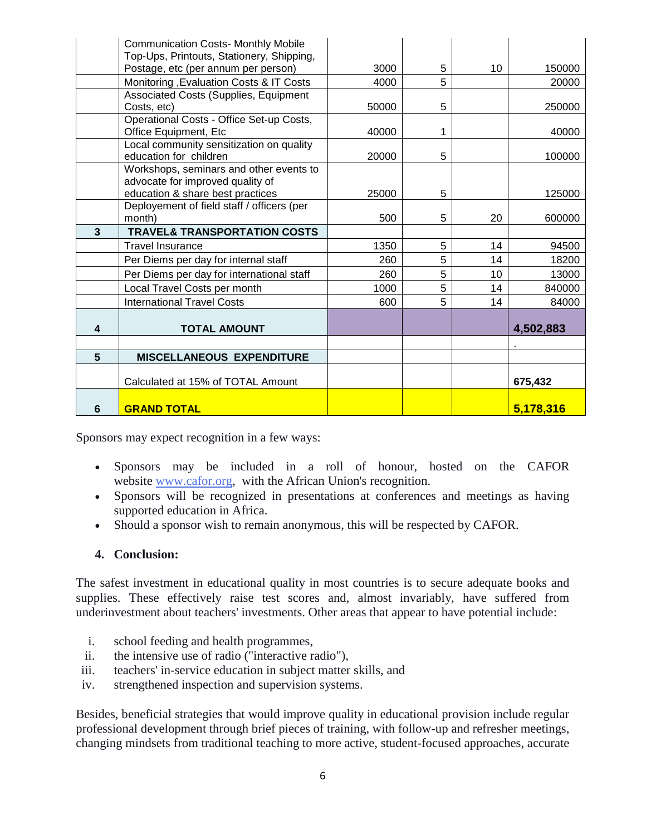|                         | <b>Communication Costs- Monthly Mobile</b><br>Top-Ups, Printouts, Stationery, Shipping, |       |   |    |           |
|-------------------------|-----------------------------------------------------------------------------------------|-------|---|----|-----------|
|                         | Postage, etc (per annum per person)                                                     | 3000  | 5 | 10 | 150000    |
|                         | Monitoring , Evaluation Costs & IT Costs                                                | 4000  | 5 |    | 20000     |
|                         | Associated Costs (Supplies, Equipment                                                   |       |   |    |           |
|                         | Costs, etc)                                                                             | 50000 | 5 |    | 250000    |
|                         | Operational Costs - Office Set-up Costs,<br>Office Equipment, Etc                       | 40000 | 1 |    | 40000     |
|                         | Local community sensitization on quality<br>education for children                      | 20000 | 5 |    | 100000    |
|                         | Workshops, seminars and other events to<br>advocate for improved quality of             |       |   |    |           |
|                         | education & share best practices                                                        | 25000 | 5 |    | 125000    |
|                         | Deployement of field staff / officers (per                                              |       |   |    |           |
|                         | month)                                                                                  | 500   | 5 | 20 | 600000    |
| 3                       | <b>TRAVEL&amp; TRANSPORTATION COSTS</b>                                                 |       |   |    |           |
|                         | <b>Travel Insurance</b>                                                                 | 1350  | 5 | 14 | 94500     |
|                         | Per Diems per day for internal staff                                                    | 260   | 5 | 14 | 18200     |
|                         | Per Diems per day for international staff                                               | 260   | 5 | 10 | 13000     |
|                         | Local Travel Costs per month                                                            | 1000  | 5 | 14 | 840000    |
|                         | <b>International Travel Costs</b>                                                       | 600   | 5 | 14 | 84000     |
| $\overline{\mathbf{4}}$ | <b>TOTAL AMOUNT</b>                                                                     |       |   |    | 4,502,883 |
|                         |                                                                                         |       |   |    |           |
| 5                       | <b>MISCELLANEOUS EXPENDITURE</b>                                                        |       |   |    |           |
|                         | Calculated at 15% of TOTAL Amount                                                       |       |   |    | 675,432   |
| 6                       | <b>GRAND TOTAL</b>                                                                      |       |   |    | 5,178,316 |

Sponsors may expect recognition in a few ways:

- Sponsors may be included in a roll of honour, hosted on the CAFOR website [www.cafor.org,](http://www.cafor.org/) with the African Union's recognition.
- Sponsors will be recognized in presentations at conferences and meetings as having supported education in Africa.
- Should a sponsor wish to remain anonymous, this will be respected by CAFOR.

# **4. Conclusion:**

The safest investment in educational quality in most countries is to secure adequate books and supplies. These effectively raise test scores and, almost invariably, have suffered from underinvestment about teachers' investments. Other areas that appear to have potential include:

- i. school feeding and health programmes,
- ii. the intensive use of radio ("interactive radio"),
- iii. teachers' in-service education in subject matter skills, and
- iv. strengthened inspection and supervision systems.

Besides, beneficial strategies that would improve quality in educational provision include regular professional development through brief pieces of training, with follow-up and refresher meetings, changing mindsets from traditional teaching to more active, student-focused approaches, accurate